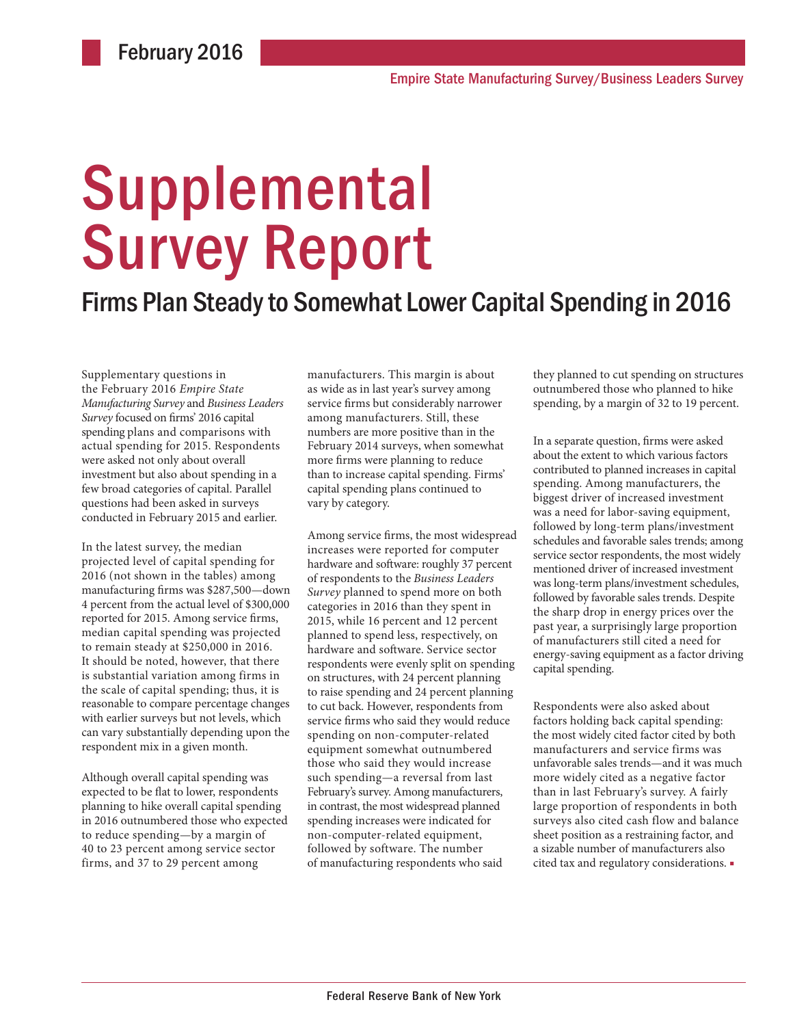# Supplemental Survey Report

## Firms Plan Steady to Somewhat Lower Capital Spending in 2016

Supplementary questions in the February 2016 *Empire State Manufacturing Survey* and *Business Leaders Survey* focused on firms' 2016 capital spending plans and comparisons with actual spending for 2015. Respondents were asked not only about overall investment but also about spending in a few broad categories of capital. Parallel questions had been asked in surveys conducted in February 2015 and earlier.

In the latest survey, the median projected level of capital spending for 2016 (not shown in the tables) among manufacturing firms was \$287,500—down 4 percent from the actual level of \$300,000 reported for 2015. Among service firms, median capital spending was projected to remain steady at \$250,000 in 2016. It should be noted, however, that there is substantial variation among firms in the scale of capital spending; thus, it is reasonable to compare percentage changes with earlier surveys but not levels, which can vary substantially depending upon the respondent mix in a given month.

Although overall capital spending was expected to be flat to lower, respondents planning to hike overall capital spending in 2016 outnumbered those who expected to reduce spending—by a margin of 40 to 23 percent among service sector firms, and 37 to 29 percent among

manufacturers. This margin is about as wide as in last year's survey among service firms but considerably narrower among manufacturers. Still, these numbers are more positive than in the February 2014 surveys, when somewhat more firms were planning to reduce than to increase capital spending. Firms' capital spending plans continued to vary by category.

Among service firms, the most widespread increases were reported for computer hardware and software: roughly 37 percent of respondents to the *Business Leaders Survey* planned to spend more on both categories in 2016 than they spent in 2015, while 16 percent and 12 percent planned to spend less, respectively, on hardware and software. Service sector respondents were evenly split on spending on structures, with 24 percent planning to raise spending and 24 percent planning to cut back. However, respondents from service firms who said they would reduce spending on non-computer-related equipment somewhat outnumbered those who said they would increase such spending—a reversal from last February's survey. Among manufacturers, in contrast, the most widespread planned spending increases were indicated for non-computer-related equipment, followed by software. The number of manufacturing respondents who said

they planned to cut spending on structures outnumbered those who planned to hike spending, by a margin of 32 to 19 percent.

In a separate question, firms were asked about the extent to which various factors contributed to planned increases in capital spending. Among manufacturers, the biggest driver of increased investment was a need for labor-saving equipment, followed by long-term plans/investment schedules and favorable sales trends; among service sector respondents, the most widely mentioned driver of increased investment was long-term plans/investment schedules, followed by favorable sales trends. Despite the sharp drop in energy prices over the past year, a surprisingly large proportion of manufacturers still cited a need for energy-saving equipment as a factor driving capital spending.

Respondents were also asked about factors holding back capital spending: the most widely cited factor cited by both manufacturers and service firms was unfavorable sales trends—and it was much more widely cited as a negative factor than in last February's survey. A fairly large proportion of respondents in both surveys also cited cash flow and balance sheet position as a restraining factor, and a sizable number of manufacturers also cited tax and regulatory considerations. ■